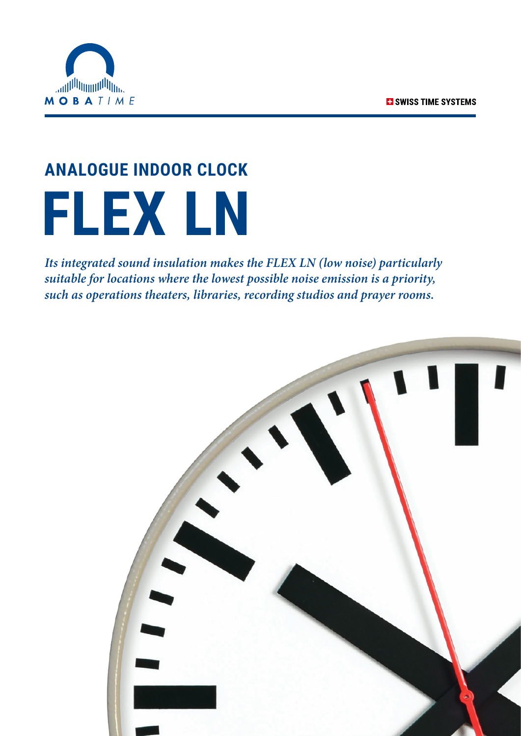

# **ANALOGUE INDOOR CLOCK FLEX LN**

*Its integrated sound insulation makes the FLEX LN (low noise) particularly suitable for locations where the lowest possible noise emission is a priority, such as operations theaters, libraries, recording studios and prayer rooms.*

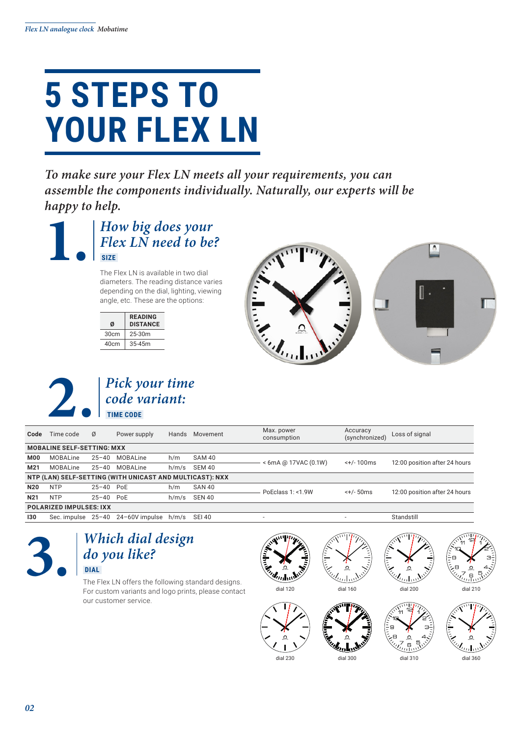## **5 STEPS TO YOUR FLEX LN**

*To make sure your Flex LN meets all your requirements, you can assemble the components individually. Naturally, our experts will be happy to help.*



The Flex LN is available in two dial diameters. The reading distance varies depending on the dial, lighting, viewing angle, etc. These are the options:

| <b>READING</b><br><b>DISTANCE</b> |
|-----------------------------------|
| $25-30m$                          |
| $35 - 45m$                        |
|                                   |





| Time code                                                | Ø         | Power supply | Hands                      |                                               | Max. power<br>consumption | Accuracy<br>(synchronized) | Loss of signal                |
|----------------------------------------------------------|-----------|--------------|----------------------------|-----------------------------------------------|---------------------------|----------------------------|-------------------------------|
| <b>MOBALINE SELF-SETTING: MXX</b>                        |           |              |                            |                                               |                           |                            |                               |
| MOBALine                                                 | $25 - 40$ | MOBALine     | h/m                        | SAM 40                                        | $< 6$ mA @ 17VAC (0.1W)   | $< +/- 100$ ms             | 12:00 position after 24 hours |
| MOBALine                                                 | $25 - 40$ | MOBALine     | h/m/s                      | SEM 40                                        |                           |                            |                               |
| NTP (LAN) SELF-SETTING (WITH UNICAST AND MULTICAST): NXX |           |              |                            |                                               |                           |                            |                               |
| <b>NTP</b>                                               |           |              | h/m                        | SAN 40                                        | PoEclass 1: <1.9W         | $< +/- 50$ ms              | 12:00 position after 24 hours |
| <b>NTP</b>                                               |           |              | h/m/s                      | <b>SEN 40</b>                                 |                           |                            |                               |
| <b>POLARIZED IMPULSES: IXX</b>                           |           |              |                            |                                               |                           |                            |                               |
|                                                          |           |              |                            |                                               | ۰                         | $\overline{a}$             | Standstill                    |
|                                                          |           |              | 25-40 PoE<br>$25 - 40$ PoF | Sec. impulse $25-40$ $24-60V$ impulse $h/m/s$ | Movement<br>SEI 40        |                            |                               |

### **3.** *Which dial design do you like?*  **DIAL**

The Flex LN offers the following standard designs. For custom variants and logo prints, please contact our customer service.









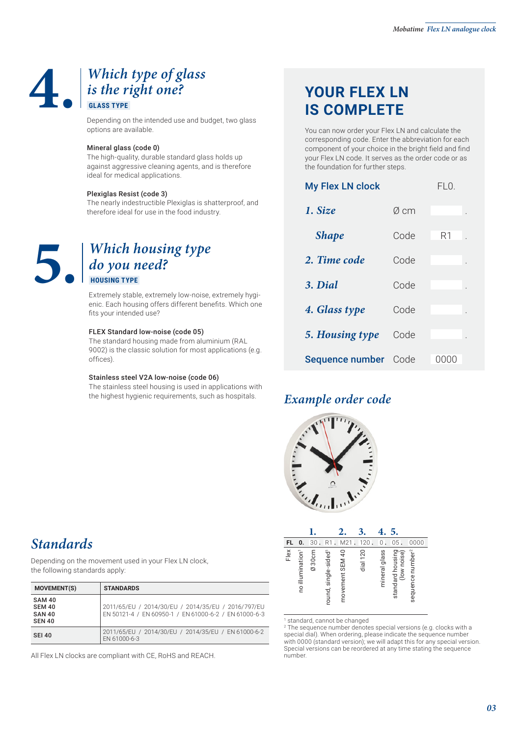## **4.** *Which type of glass is the right one?*  **GLASS TYPE**

Depending on the intended use and budget, two glass options are available.

#### Mineral glass (code 0)

The high-quality, durable standard glass holds up against aggressive cleaning agents, and is therefore ideal for medical applications.

#### Plexiglas Resist (code 3)

The nearly indestructible Plexiglas is shatterproof, and therefore ideal for use in the food industry.

## **5.** *Which housing type do you need?*  **HOUSING TYPE**

Extremely stable, extremely low-noise, extremely hygienic. Each housing offers different benefits. Which one fits your intended use?

#### FLEX Standard low-noise (code 05)

The standard housing made from aluminium (RAL 9002) is the classic solution for most applications (e.g. offices).

#### Stainless steel V2A low-noise (code 06)

The stainless steel housing is used in applications with the highest hygienic requirements, such as hospitals.

## **YOUR FLEX LN IS COMPLETE**

You can now order your Flex LN and calculate the corresponding code. Enter the abbreviation for each component of your choice in the bright field and find your Flex LN code. It serves as the order code or as the foundation for further steps.

| <b>My Flex LN clock</b> | FLO. |                     |
|-------------------------|------|---------------------|
| 1. Size                 | Ø cm |                     |
| <b>Shape</b>            | Code | R1                  |
| 2. Time code            | Code |                     |
| 3. Dial                 | Code |                     |
| 4. Glass type           | Code |                     |
| 5. Housing type         | Code |                     |
| Sequence number         | Code | ( ) ( ) ( ) ( ) ( ) |

### *Example order code*



|      |                              |       |                     |                 |          |               | 5.                              |                              |
|------|------------------------------|-------|---------------------|-----------------|----------|---------------|---------------------------------|------------------------------|
| FL   | 0.                           | 30    |                     | M21             | 120      | 0             | 05                              | 0000                         |
| Flex | no illumination <sup>1</sup> | Ø30cm | round, single-sided | movement SEM 40 | dial 120 | mineral glass | standard housing<br>(low noise) | sequence number <sup>2</sup> |

1 standard, cannot be changed

2 The sequence number denotes special versions (e.g. clocks with a special dial). When ordering, please indicate the sequence number with 0000 (standard version); we will adapt this for any special version. Special versions can be reordered at any time stating the sequence number.

## *Standards*

Depending on the movement used in your Flex LN clock, the following standards apply:

| <b>MOVEMENT(S)</b>                                               | <b>STANDARDS</b>                                                                                            |
|------------------------------------------------------------------|-------------------------------------------------------------------------------------------------------------|
| <b>SAM 40</b><br><b>SEM 40</b><br><b>SAN 40</b><br><b>SEN 40</b> | 2011/65/EU / 2014/30/EU / 2014/35/EU / 2016/797/EU<br>EN 50121-4 / EN 60950-1 / EN 61000-6-2 / EN 61000-6-3 |
| <b>SEI 40</b>                                                    | 2011/65/EU / 2014/30/EU / 2014/35/EU / EN 61000-6-2<br>EN 61000-6-3                                         |

All Flex LN clocks are compliant with CE, RoHS and REACH.